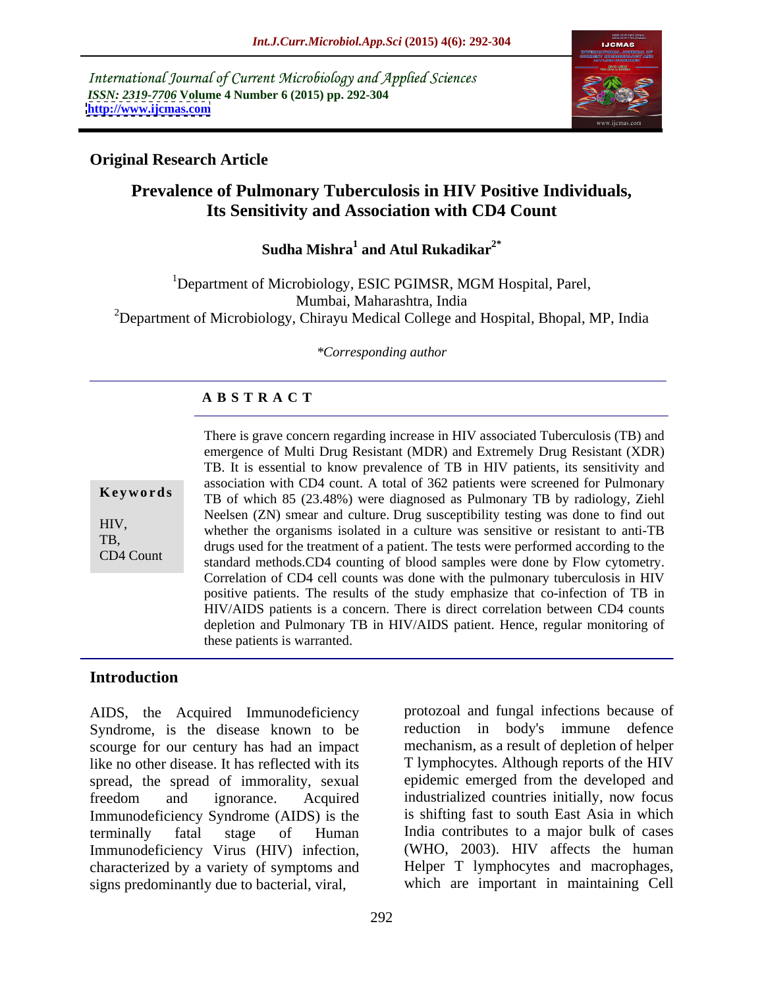International Journal of Current Microbiology and Applied Sciences *ISSN: 2319-7706* **Volume 4 Number 6 (2015) pp. 292-304 <http://www.ijcmas.com>**



## **Original Research Article**

# **Prevalence of Pulmonary Tuberculosis in HIV Positive Individuals, Its Sensitivity and Association with CD4 Count**

Sudha Mishra<sup>1</sup> and Atul Rukadikar<sup>2\*</sup> **and Atul Rukadikar2\***

<sup>1</sup>Department of Microbiology, ESIC PGIMSR, MGM Hospital, Parel, Mumbai, Maharashtra, India <sup>2</sup>Department of Microbiology, Chirayu Medical College and Hospital, Bhopal, MP, India

*\*Corresponding author*

## **A B S T R A C T**

CD4 Count

There is grave concern regarding increase in HIV associated Tuberculosis (TB) and emergence of Multi Drug Resistant (MDR) and Extremely Drug Resistant (XDR) TB. It is essential to know prevalence of TB in HIV patients, its sensitivity and association with CD4 count. A total of 362 patients were screened for Pulmonary **Keywords** TB of which 85 (23.48%) were diagnosed as Pulmonary TB by radiology, Ziehl Neelsen (ZN) smear and culture. Drug susceptibility testing was done to find out HIV,<br>whether the organisms isolated in a culture was sensitive or resistant to anti-TB TB,<br>drugs used for the treatment of a patient. The tests were performed according to the standard methods.CD4 counting of blood samples were done by Flow cytometry. Correlation of CD4 cell counts was done with the pulmonary tuberculosis in HIV positive patients. The results of the study emphasize that co-infection of TB in HIV/AIDS patients is a concern. There is direct correlation between CD4 counts depletion and Pulmonary TB in HIV/AIDS patient. Hence, regular monitoring of these patients is warranted.

## **Introduction**

AIDS, the Acquired Immunodeficiency Syndrome, is the disease known to be reduction in body's immune defence scourge for our century has had an impact like no other disease. It has reflected with its spread, the spread of immorality, sexual freedom and ignorance. Acquired industrialized countries initially, now focus Immunodeficiency Syndrome (AIDS) is the terminally fatal stage of Human India contributes to a major bulk of cases Immunodeficiency Virus (HIV) infection, characterized by a variety of symptoms and signs predominantly due to bacterial, viral,

protozoal and fungal infections because of mechanism, as a result of depletion of helper T lymphocytes. Although reports of the HIV epidemic emerged from the developed and industrialized countries initially, now focus is shifting fast to south East Asia in which (WHO, 2003). HIV affects the human Helper T lymphocytes and macrophages, which are important in maintaining Cell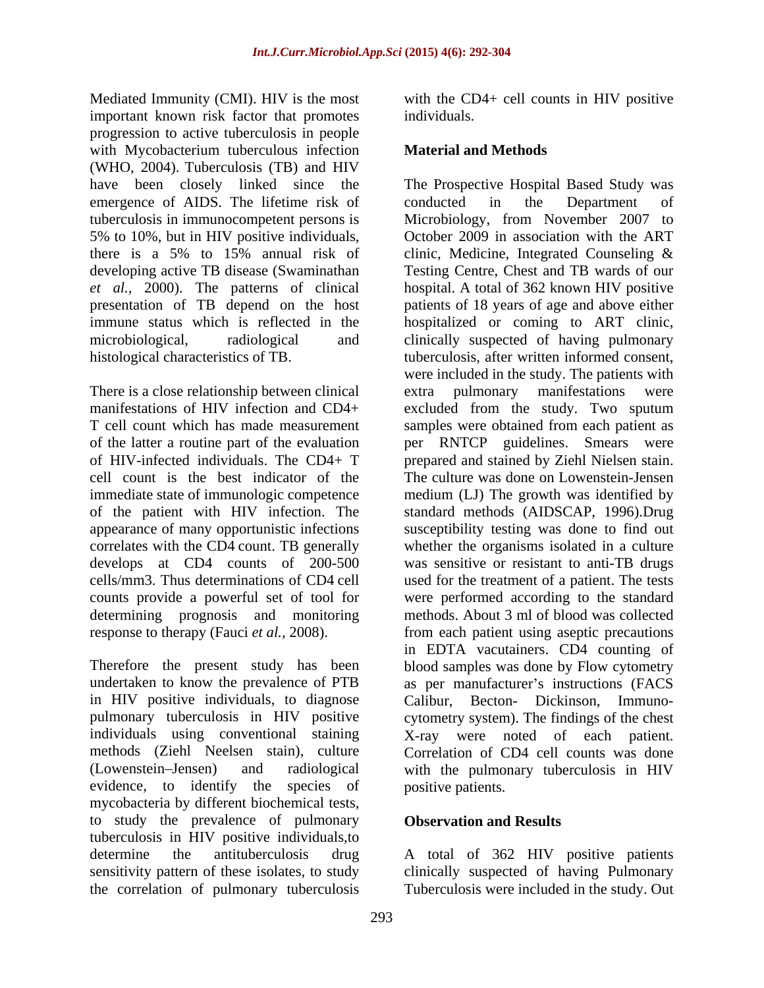Mediated Immunity (CMI). HIV is the most with the CD4+ cell counts in HIV positive important known risk factor that promotes individuals. progression to active tuberculosis in people with Mycobacterium tuberculous infection **Material and Methods** (WHO, 2004). Tuberculosis (TB) and HIV emergence of AIDS. The lifetime risk of conducted in the Department of tuberculosis in immunocompetent persons is 5% to 10%, but in HIV positive individuals, there is a 5% to 15% annual risk of clinic, Medicine, Integrated Counseling &

There is a close relationship between clinical extra pulmonary manifestations were determining prognosis and monitoring

in HIV positive individuals, to diagnose<br>pulmonary tuberculosis in HIV positive evidence, to identify the species of mycobacteria by different biochemical tests, to study the prevalence of pulmonary **Observation and Results** tuberculosis in HIV positive individuals,to determine the antituberculosis drug A total of 362 HIV positive patients sensitivity pattern of these isolates, to study clinically suspected of having Pulmonary the correlation of pulmonary tuberculosis

individuals.

## **Material and Methods**

have been closely linked since the The Prospective Hospital Based Study was developing active TB disease (Swaminathan Testing Centre, Chest and TB wards of our *et al.,* 2000). The patterns of clinical hospital. A total of 362 known HIV positive presentation of TB depend on the host patients of 18 years of age and above either immune status which is reflected in the hospitalized or coming to ART clinic, microbiological, radiological and clinically suspected of having pulmonary histological characteristics of TB. tuberculosis, after written informed consent, manifestations of HIV infection and CD4+ excluded from the study. Two sputum T cell count which has made measurement samples were obtained from each patient as of the latter a routine part of the evaluation per RNTCP guidelines. Smears were of HIV-infected individuals. The CD4+ T prepared and stained by Ziehl Nielsen stain. cell count is the best indicator of the The culture was done on Lowenstein-Jensen immediate state of immunologic competence medium (LJ) The growth was identified by of the patient with HIV infection. The standard methods (AIDSCAP, 1996).Drug appearance of many opportunistic infections susceptibility testing was done to find out correlates with the CD4 count. TB generally whether the organisms isolated in a culture develops at CD4 counts of 200-500 was sensitive or resistant to anti-TB drugs cells/mm3. Thus determinations of CD4 cell used for the treatment of a patient. The tests counts provide a powerful set of tool for were performed according to the standard response to therapy (Fauci *et al.*, 2008). from each patient using aseptic precautions Therefore the present study has been blood samples was done by Flow cytometry undertaken to know the prevalence of PTB as per manufacturer's instructions (FACS pulmonary tuberculosis in HIV positive cytometry system). The findings of the chest individuals using conventional staining X-ray were noted of each patient. methods (Ziehl Neelsen stain), culture Correlation of CD4 cell counts was done (Lowenstein Jensen) and radiological with the pulmonary tuberculosis in HIV conducted in the Department of Microbiology, from November 2007 to October 2009 in association with the ART clinic, Medicine, Integrated Counseling & were included in the study. The patients with pulmonary manifestations methods. About 3 ml of blood was collected in EDTA vacutainers. CD4 counting of Calibur, Becton- Dickinson, Immuno positive patients.

## **Observation and Results**

Tuberculosis were included in the study. Out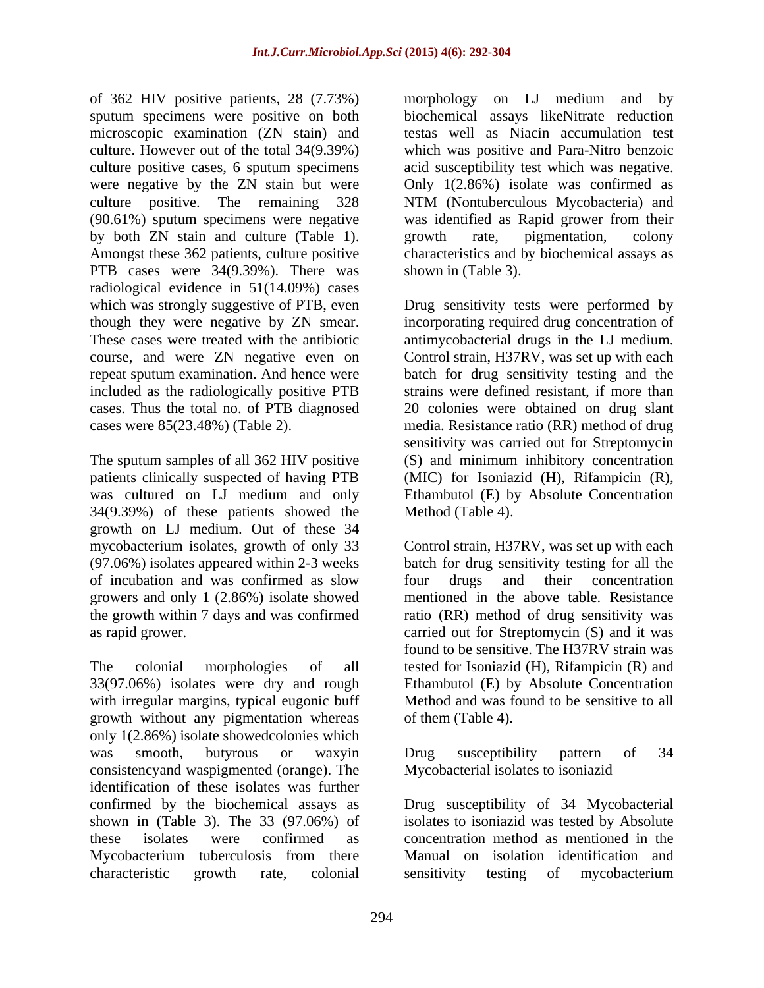of 362 HIV positive patients, 28 (7.73%) sputum specimens were positive on both biochemical assays likeNitrate reduction microscopic examination (ZN stain) and culture. However out of the total 34(9.39%) which was positive and Para-Nitro benzoic culture positive cases, 6 sputum specimens acid susceptibility test which was negative. were negative by the ZN stain but were culture positive. The remaining 328 NTM (Nontuberculous Mycobacteria) and (90.61%) sputum specimens were negative was identified as Rapid grower from their by both ZN stain and culture (Table 1). growth rate, pigmentation, colony Amongst these 362 patients, culture positive characteristics and by biochemical assays as PTB cases were 34(9.39%). There was radiological evidence in 51(14.09%) cases included as the radiologically positive PTB cases. Thus the total no. of PTB diagnosed

patients clinically suspected of having PTB was cultured on LJ medium and only 34(9.39%) of these patients showed the growth on LJ medium. Out of these 34 of incubation and was confirmed as slow

with irregular margins, typical eugonic buff growth without any pigmentation whereas only 1(2.86%) isolate showedcolonies which was smooth, butyrous or waxyin consistencyand waspigmented (orange). The identification of these isolates was further confirmed by the biochemical assays as Drug susceptibility of 34 Mycobacterial shown in (Table 3). The 33 (97.06%) of isolates to isoniazid was tested by Absolute these isolates were confirmed as concentration method as mentioned in the Mycobacterium tuberculosis from there Manual on isolation identification and

morphology on LJ medium and by testas well as Niacin accumulation test Only 1(2.86%) isolate was confirmed as NTM (Nontuberculous Mycobacteria) and growth rate, pigmentation, colony shown in (Table 3).

which was strongly suggestive of PTB, even Drug sensitivity tests were performed by though they were negative by ZN smear. incorporating required drug concentration of These cases were treated with the antibiotic antimycobacterial drugs in the LJ medium. course, and were ZN negative even on Control strain, H37RV, was set up with each repeat sputum examination. And hence were batch for drug sensitivity testing and the cases were 85(23.48%) (Table 2). media. Resistance ratio (RR) method of drug The sputum samples of all 362 HIV positive (S) and minimum inhibitory concentration strains were defined resistant, if more than 20 colonies were obtained on drug slant sensitivity was carried out for Streptomycin (MIC) for Isoniazid (H), Rifampicin (R), Ethambutol (E) by Absolute Concentration Method (Table 4).

mycobacterium isolates, growth of only 33 Control strain, H37RV, was set up with each (97.06%) isolates appeared within 2-3 weeks batch for drug sensitivity testing for all the growers and only 1 (2.86%) isolate showed mentioned in the above table. Resistance the growth within 7 days and was confirmed ratio (RR) method of drug sensitivity was as rapid grower. carried out for Streptomycin (S) and it was The colonial morphologies of all tested for Isoniazid (H), Rifampicin (R) and 33(97.06%) isolates were dry and rough Ethambutol (E) by Absolute Concentration four drugs and their concentration found to be sensitive. The H37RV strain was Method and was found to be sensitive to all of them (Table 4).

> Drug susceptibility pattern of 34 Mycobacterial isolates to isoniazid

characteristic growth rate, colonial Manual on isolation identification and sensitivity testing of mycobacterium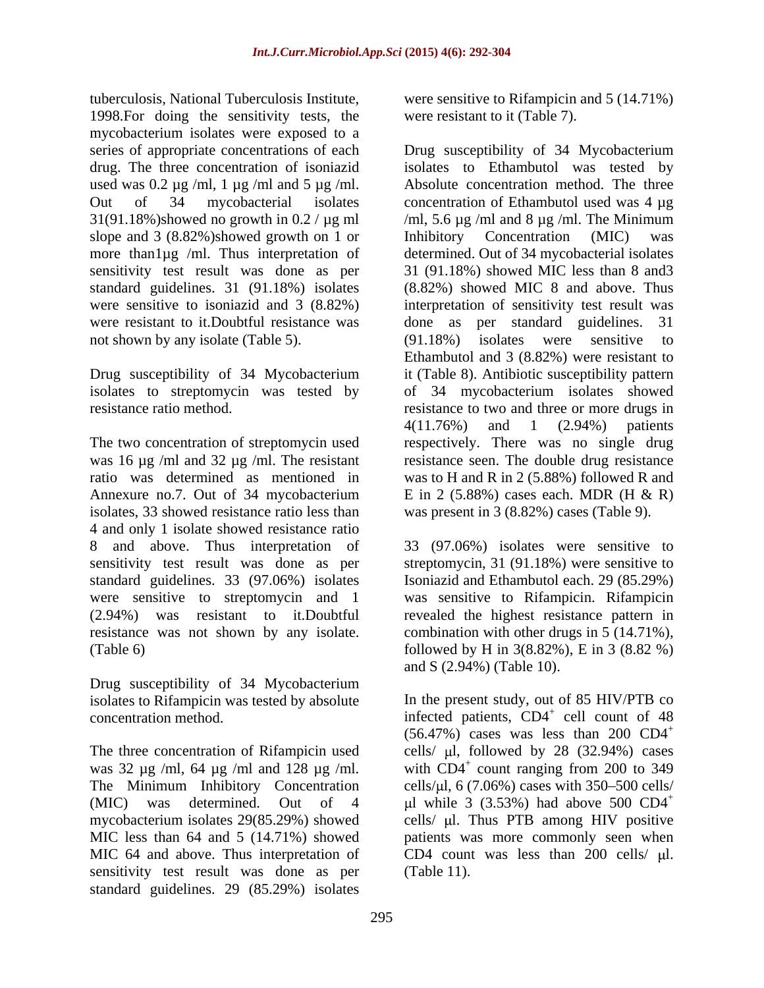tuberculosis, National Tuberculosis Institute, were sensitive to Rifampicin and 5 (14.71%) 1998.For doing the sensitivity tests, the mycobacterium isolates were exposed to a used was  $0.2 \mu g$  /ml, 1  $\mu g$  /ml and 5  $\mu g$  /ml. slope and 3 (8.82%)showed growth on 1 or Inhibitory Concentration (MIC) was more than1µg /ml. Thus interpretation of were resistant to it. Doubtful resistance was done as per standard guidelines. 31 not shown by any isolate (Table 5). (91.18%) isolates were sensitive to

isolates, 33 showed resistance ratio less than 4 and only 1 isolate showed resistance ratio 8 and above. Thus interpretation of sensitivity test result was done as per streptomycin, 31 (91.18%) were sensitive to standard guidelines. 33 (97.06%) isolates Isoniazid and Ethambutol each. 29 (85.29%) were sensitive to streptomycin and 1 was sensitive to Rifampicin. Rifampicin (2.94%) was resistant to it.Doubtful revealed the highest resistance pattern in resistance was not shown by any isolate. combination with other drugs in 5 (14.71%), (Table 6) followed by H in 3(8.82%), E in 3 (8.82 %)

Drug susceptibility of 34 Mycobacterium

sensitivity test result was done as per standard guidelines. 29 (85.29%) isolates

were resistant to it (Table 7).

series of appropriate concentrations of each Drug susceptibility of 34 Mycobacterium drug. The three concentration of isoniazid isolates to Ethambutol was tested by Out of 34 mycobacterial isolates concentration of Ethambutol used was 4 µg 31(91.18%)showed no growth in 0.2 /  $\mu$ g ml /ml, 5.6  $\mu$ g /ml and 8  $\mu$ g /ml. The Minimum sensitivity test result was done as per 31 (91.18%) showed MIC less than 8 and3 standard guidelines. 31 (91.18%) isolates (8.82%) showed MIC 8 and above. Thus were sensitive to isoniazid and 3 (8.82%) interpretation of sensitivity test result was Drug susceptibility of 34 Mycobacterium it (Table 8). Antibiotic susceptibility pattern isolates to streptomycin was tested by of 34 mycobacterium isolates showed resistance ratio method. resistance to two and three or more drugs in The two concentration of streptomycin used respectively. There was no single drug was 16 µg /ml and 32 µg /ml. The resistant resistance seen. The double drug resistance ratio was determined as mentioned in was to H and R in 2 (5.88%) followed R and Annexure no.7. Out of 34 mycobacterium E in 2 (5.88%) cases each. MDR (H & R) Absolute concentration method. The three Inhibitory Concentration (MIC) was determined. Out of 34 mycobacterial isolates done as per standard guidelines. (91.18%) isolates were sensitive to Ethambutol and 3 (8.82%) were resistant to 4(11.76%) and 1 (2.94%) patients was present in 3 (8.82%) cases (Table 9).

> 33 (97.06%) isolates were sensitive to and S (2.94%) (Table 10).

isolates to Rifampicin was tested by absolute In the present study, out of 85 HIV/PTB co concentration method. The infected patients, CD4<sup>+</sup> cell count of 48 The three concentration of Rifampicin used cells/  $\mu$ l, followed by 28 (32.94%) cases was 32  $\mu$ g /ml, 64  $\mu$ g /ml and 128  $\mu$ g /ml. with CD4<sup>+</sup> count ranging from 200 to 349 The Minimum Inhibitory Concentration cells/ $\mu$ l, 6 (7.06%) cases with 350–500 cells/ (MIC) was determined. Out of 4  $\mu$ l while 3 (3.53%) had above 500 CD4<sup>+</sup> mycobacterium isolates 29(85.29%) showed cells/ µl. Thus PTB among HIV positive MIC less than 64 and 5 (14.71%) showed patients was more commonly seen when MIC 64 and above. Thus interpretation of CD4 count was less than 200 cells/  $\mu$ l.  $(56.47\%)$  cases was less than 200 CD4<sup>+</sup> count ranging from 200 to 349 (Table 11).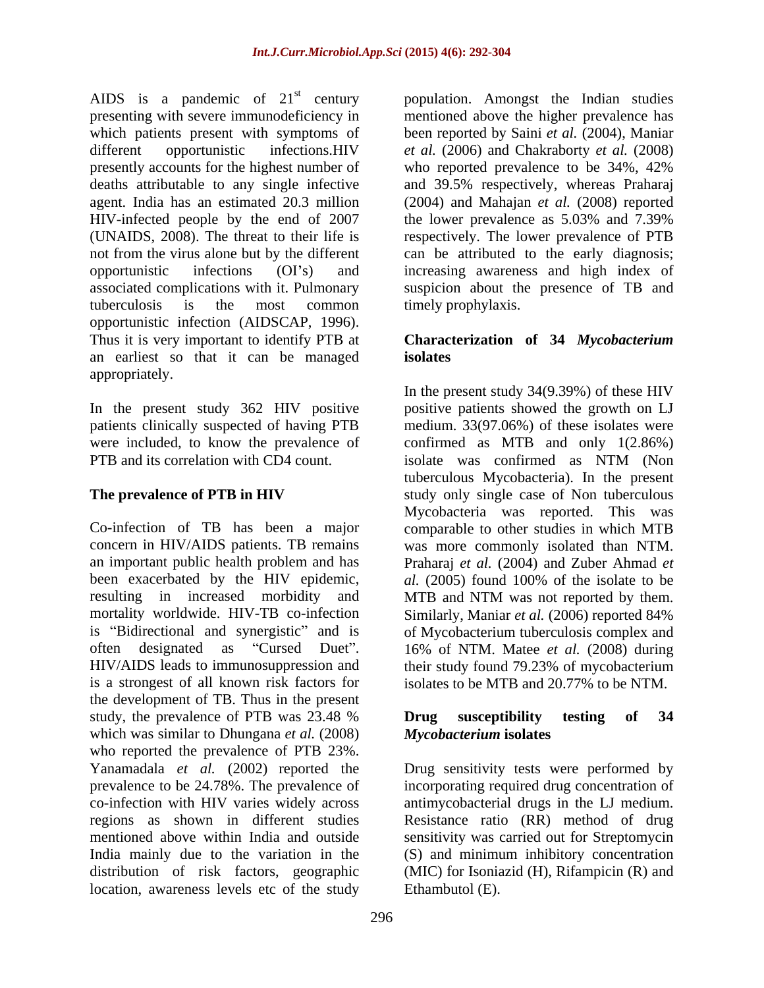AIDS is a pandemic of 21<sup>st</sup> century bopulation. Amongst the Indian studies presenting with severe immunodeficiency in which patients present with symptoms of been reported by Saini *et al.* (2004), Maniar different opportunistic infections.HIV *et al.* (2006) and Chakraborty *et al.* (2008) presently accounts for the highest number of who reported prevalence to be 34%, 42% deaths attributable to any single infective and 39.5% respectively, whereas Praharaj agent. India has an estimated 20.3 million (2004) and Mahajan *et al.* (2008) reported HIV-infected people by the end of 2007 the lower prevalence as 5.03% and 7.39% (UNAIDS, 2008). The threat to their life is not from the virus alone but by the different can be attributed to the early diagnosis; opportunistic infections (OI's) and increasing awareness and high index of associated complications with it. Pulmonary suspicion about the presence of TB and tuberculosis is the most common opportunistic infection (AIDSCAP, 1996).<br>Thus it is very important to identify PTB at **Characterization of 34 Mycobacterium** an earliest so that it can be managed appropriately.

In the present study 362 HIV positive were included, to know the prevalence of PTB and its correlation with CD4 count. Solate was confirmed as NTM (Non

resulting in increased morbidity and MTB and NTM was not reported by them. is "Bidirectional and synergistic" and is is a strongest of all known risk factors for the development of TB. Thus in the present study, the prevalence of PTB was 23.48 % **Drug** susceptibility testing of 34 which was similar to Dhungana *et al.* (2008) who reported the prevalence of PTB 23%. Yanamadala *et al.* (2002) reported the Drug sensitivity tests were performed by prevalence to be 24.78%. The prevalence of incorporating required drug concentration of co-infection with HIV varies widely across antimycobacterial drugs in the LJ medium. regions as shown in different studies Resistance ratio (RR) method of drug mentioned above within India and outside sensitivity was carried out for Streptomycin India mainly due to the variation in the (S) and minimum inhibitory concentration distribution of risk factors, geographic (MIC) for Isoniazid (H), Rifampicin (R) and location, awareness levels etc of the study

mentioned above the higher prevalence has who reported prevalence to be 34%, 42% the lower prevalence as 5.03% and 7.39% respectively. The lower prevalence of PTB timely prophylaxis.

## **Characterization of 34** *Mycobacterium*  **isolates**

patients clinically suspected of having PTB medium. 33(97.06%) of these isolates were **The prevalence of PTB in HIV** study only single case of Non tuberculous Co-infection of TB has been a major comparable to other studies in which MTB concern in HIV/AIDS patients. TB remains was more commonly isolated than NTM. an important public health problem and has Praharaj *et al.* (2004) and Zuber Ahmad *et*  been exacerbated by the HIV epidemic, *al.* (2005) found 100% of the isolate to be mortality worldwide. HIV-TB co-infection Similarly, Maniar *et al.* (2006) reported 84% often designated as "Cursed Duet". 16% of NTM. Matee *et al.* (2008) during HIV/AIDS leads to immunosuppression and their study found 79.23% of mycobacterium In the present study 34(9.39%) of these HIV positive patients showed the growth on LJ confirmed as MTB and only 1(2.86%) isolate was confirmed as NTM (Non tuberculous Mycobacteria). In the present Mycobacteria was reported. This was MTB and NTM was not reported by them. of Mycobacterium tuberculosis complex and isolates to be MTB and 20.77% to be NTM.

## **Drug susceptibility testing of 34** *Mycobacterium* **isolates**

Ethambutol (E).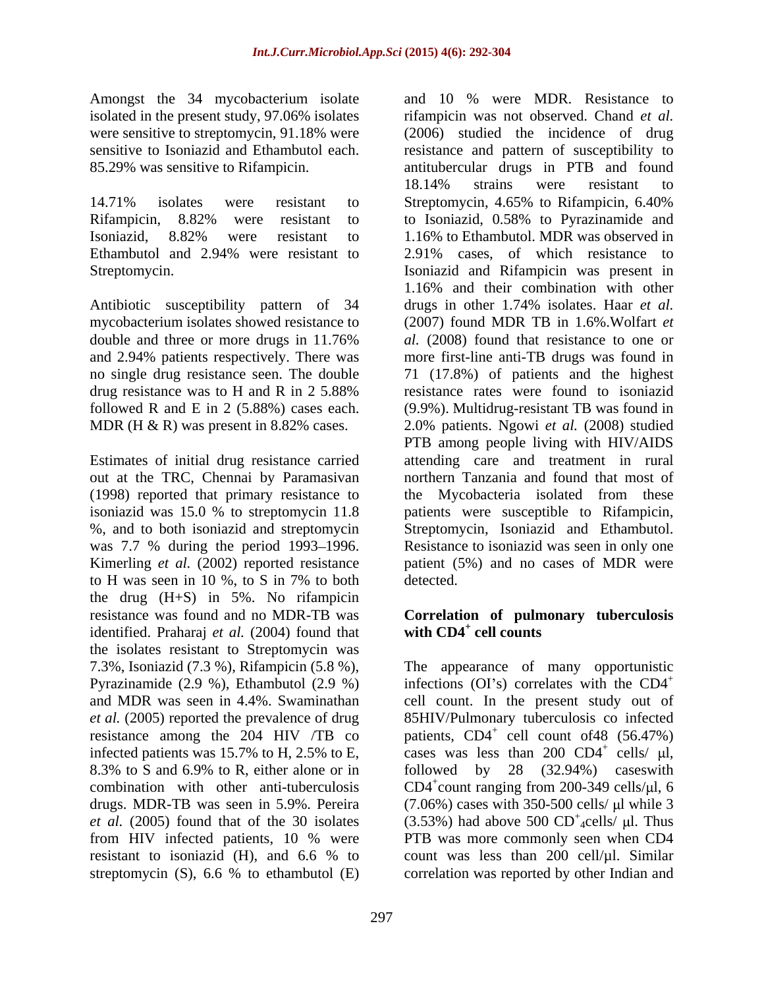Amongst the 34 mycobacterium isolate and 10 % were MDR. Resistance to

14.71% isolates were resistant to Streptomycin, 4.65% to Rifampicin, 6.40% Ethambutol and 2.94% were resistant to 2.91% cases, of which resistance to

Antibiotic susceptibility pattern of 34 drugs in other 1.74% isolates. Haar et al. followed R and E in 2 (5.88%) cases each.

out at the TRC, Chennai by Paramasivan to H was seen in 10 %, to S in 7% to both the drug (H+S) in 5%. No rifampicin resistance was found and no MDR-TB was **Correlation of pulmonary tuberculosis** identified. Praharaj *et al.* (2004) found that with CD4<sup>+</sup> cell counts the isolates resistant to Streptomycin was Pyrazinamide (2.9 %), Ethambutol (2.9 %) streptomycin (S), 6.6 % to ethambutol (E)

isolated in the present study, 97.06% isolates rifampicin was not observed. Chand *et al.* were sensitive to streptomycin, 91.18% were (2006) studied the incidence of drug sensitive to Isoniazid and Ethambutol each. resistance and pattern of susceptibility to 85.29% was sensitive to Rifampicin. antitubercular drugs in PTB and found Rifampicin, 8.82% were resistant to to Isoniazid, 0.58% to Pyrazinamide and Isoniazid, 8.82% were resistant to 1.16% to Ethambutol. MDR was observed in Streptomycin. Isoniazid and Rifampicin was present in mycobacterium isolates showed resistance to (2007) found MDR TB in 1.6%.Wolfart *et*  double and three or more drugs in 11.76% al. (2008) found that resistance to one or and 2.94% patients respectively. There was more first-line anti-TB drugs was found in no single drug resistance seen. The double 71 (17.8%) of patients and the highest drug resistance was to H and R in 2 5.88% resistance rates were found to isoniazid MDR (H & R) was present in 8.82% cases. 2.0% patients. Ngowi *et al.* (2008) studied Estimates of initial drug resistance carried attending care and treatment in rural (1998) reported that primary resistance to the Mycobacteria isolated from these isoniazid was 15.0 % to streptomycin 11.8 patients were susceptible to Rifampicin, %, and to both isoniazid and streptomycin Streptomycin, Isoniazid and Ethambutol. was 7.7 % during the period 1993–1996. Resistance to isoniazid was seen in only one Kimerling *et al.* (2002) reported resistance patient (5%) and no cases of MDR were and 10 % were MDR. Resistance to 18.14% strains were resistant to Streptomycin, 4.65% to Rifampicin, 6.40% 1.16% to Ethambutol. MDR was observed in 2.91% cases, of which resistance to 1.16% and their combination with other drugs in other 1.74% isolates. Haar *et al. al.* (2008) found that resistance to one or resistance rates were found to isoniazid (9.9%). Multidrug-resistant TB was found in PTB among people living with HIV/AIDS northern Tanzania and found that most of detected.

## with  $CD4^+$  cell counts  **cell counts**

7.3%, Isoniazid (7.3 %), Rifampicin (5.8 %), The appearance of many opportunistic and MDR was seen in 4.4%. Swaminathan cell count. In the present study out of *et al.* (2005) reported the prevalence of drug 85HIV/Pulmonary tuberculosis co infected resistance among the  $204$  HIV /TB co patients,  $CD4^+$  cell count of 48 (56.47%) infected patients was 15.7% to H, 2.5% to E, cases was less than 200  $CD4^+$  cells/  $\mu$ l, 8.3% to S and 6.9% to R, either alone or in followed by 28 (32.94%) cases with combination with other anti-tuberculosis  $CD4^+$ count ranging from 200-349 cells/ $\mu$ l, 6 drugs. MDR-TB was seen in 5.9%. Pereira (7.06%) cases with 350-500 cells/ µl while 3 *et al.* (2005) found that of the 30 isolates (3.53%) had above 500  $CD^+$ <sub>4</sub>cells/  $\mu$ l. Thus from HIV infected patients, 10 % were PTB was more commonly seen when CD4 resistant to isoniazid (H), and 6.6 % to count was less than 200 cell/ $\mu$ l. Similar infections (OI's) correlates with the  $CD4^+$ cells/ $\mu$ l, followed by 28 (32.94%) caseswith count ranging from 200-349 cells/ $\mu$ l, 6  $^+$  colle ul Thue  $_4$ cells/ $\mu$ l. Thus PTB was more commonly seen when CD4 count was less than 200 cell/µl. Similar correlation was reported by other Indian and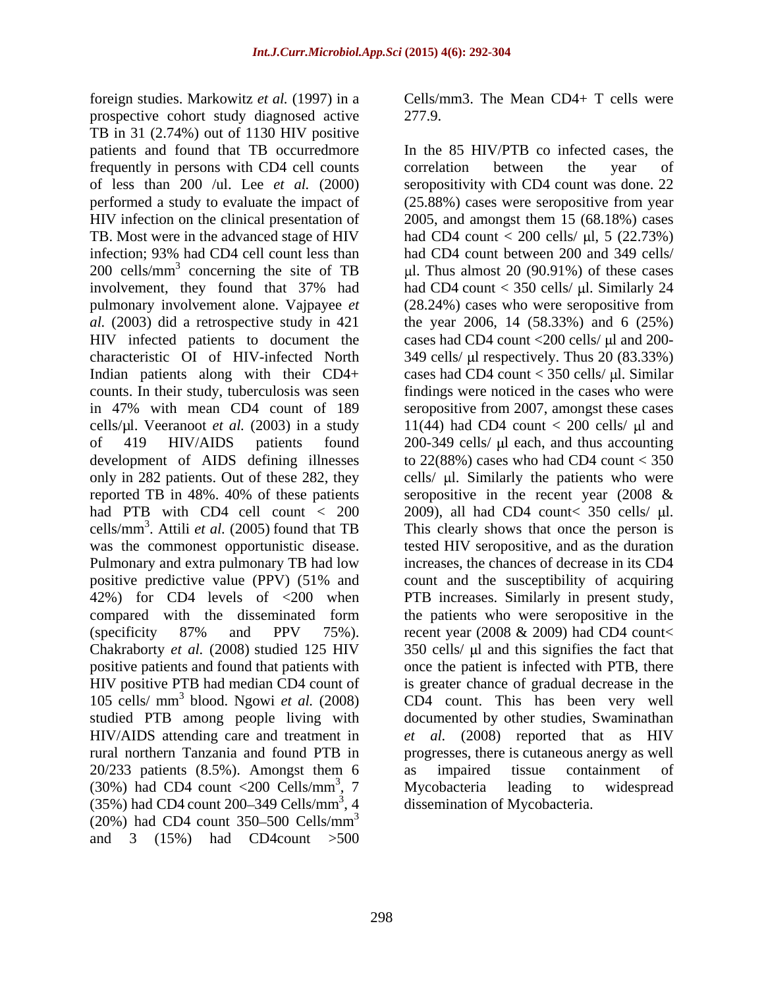foreign studies. Markowitz *et al.* (1997) in a prospective cohort study diagnosed active 277.9. TB in 31 (2.74%) out of 1130 HIV positive frequently in persons with CD4 cell counts infection; 93% had CD4 cell count less than  $200 \text{ cells/mm}^3$  concerning the site of TB positive predictive value (PPV) (51% and Chakraborty *et al.* (2008) studied 125 HIV studied PTB among people living with 20/233 patients (8.5%). Amongst them 6 as impaired tissue containment of (30%) had CD4 count <200 Cells/mm<sup>3</sup>, 7 Mycobacteria leading to widespread  $(35%)$  had CD4 count 200–349 Cells/mm<sup>3</sup>, 4  $(20\%)$  had CD4 count 350–500 Cells/mm<sup>3</sup>  $3 \left( \frac{1}{2} \right)$ and 3  $(15%)$  had CD4count  $>500$ 

Cells/mm3. The Mean CD4+ T cells were 277.9.

patients and found that TB occurredmore In the 85 HIV/PTB co infected cases, the of less than 200 /ul. Lee *et al.* (2000) seropositivity with CD4 count was done. 22 performed a study to evaluate the impact of (25.88%) cases were seropositive from year HIV infection on the clinical presentation of 2005, and amongst them 15 (68.18%) cases TB. Most were in the advanced stage of HIV had CD4 count  $<$  200 cells/  $\mu$ l, 5 (22.73%) 200 cells/mm<sup>3</sup> concerning the site of TB  $\mu$ l. Thus almost 20 (90.91%) of these cases involvement, they found that 37% had had CD4 count < 350 cells/  $\mu$ l. Similarly 24 pulmonary involvement alone. Vajpayee *et*  (28.24%) cases who were seropositive from *al.* (2003) did a retrospective study in 421 the year 2006, 14 (58.33%) and 6 (25%) HIV infected patients to document the cases had CD4 count <200 cells/  $\mu$ l and 200characteristic OI of HIV-infected North 349 cells/ µl respectively. Thus 20 (83.33%) Indian patients along with their CD4+ cases had CD4 count < 350 cells/  $\mu$ l. Similar counts. In their study, tuberculosis was seen findings were noticed in the cases who were in 47% with mean CD4 count of 189 seropositive from 2007, amongst these cases cells/ $\mu$ l. Veeranoot *et al.* (2003) in a study 11(44) had CD4 count < 200 cells/ $\mu$ l and of 419 HIV/AIDS patients found 200-349 cells/ l each, and thus accounting development of AIDS defining illnesses to 22(88%) cases who had CD4 count < 350 only in 282 patients. Out of these 282, they cells/  $\mu$ l. Similarly the patients who were reported TB in 48%. 40% of these patients seropositive in the recent year (2008 & had PTB with CD4 cell count < 200 2009), all had CD4 count< 350 cells/ µl. cells/mm<sup>3</sup> . Attili *et al.* (2005) found that TB This clearly shows that once the person is was the commonest opportunistic disease. tested HIV seropositive, and as the duration Pulmonary and extra pulmonary TB had low increases, the chances of decrease in its CD4 42%) for CD4 levels of <200 when PTB increases. Similarly in present study, compared with the disseminated form the patients who were seropositive in the (specificity  $87\%$  and PPV  $75\%$ ). recent year (2008 & 2009) had CD4 count< positive patients and found that patients with once the patient is infected with PTB, there HIV positive PTB had median CD4 count of is greater chance of gradual decrease in the 105 cells/ mm 3 blood. Ngowi *et al.* (2008) CD4 count. This has been very well HIV/AIDS attending care and treatment in *et al.* (2008) reported that as HIV rural northern Tanzania and found PTB in progresses, there is cutaneous anergy as well  $\frac{3}{7}$  Myophotoric looding to widesproad Mycobacteria , 4 dissemination of Mycobacteria. correlation between the year of had CD4 count between 200 and 349 cells/ count and the susceptibility of acquiring  $350$  cells/  $\mu$ l and this signifies the fact that documented by other studies, Swaminathan as impaired tissue containment of Mycobacteria leading to widespread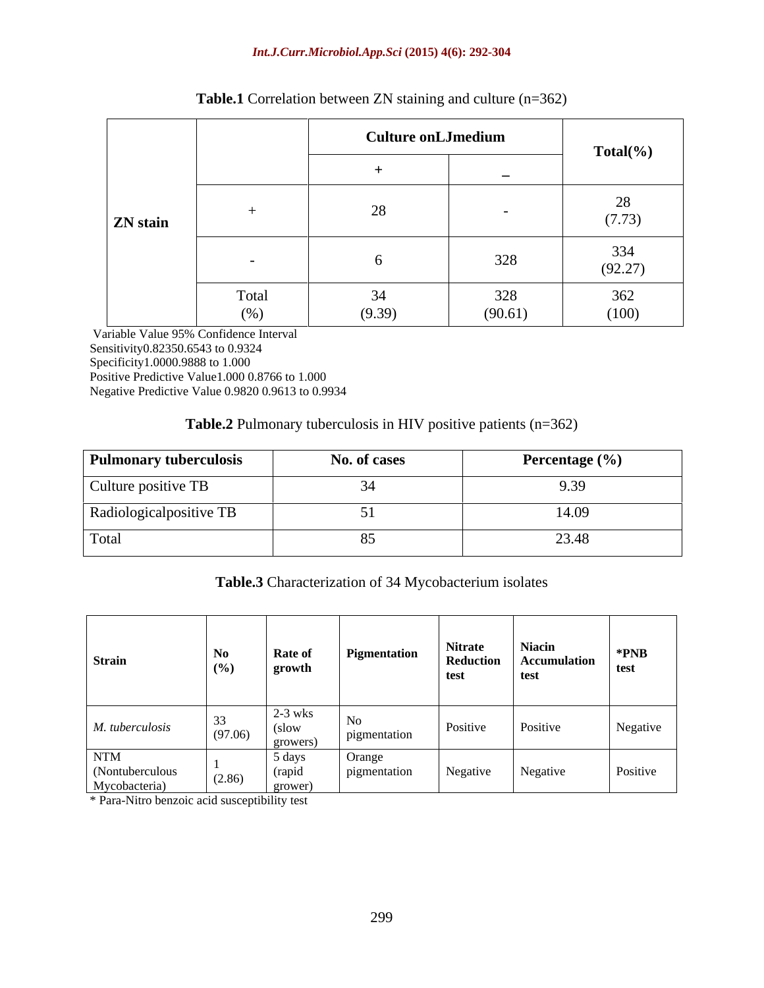### *Int.J.Curr.Microbiol.App.Sci* **(2015) 4(6): 292-304**

|                 |              | <b>Culture onLJmedium</b>     |                | $Total(\% )$   |
|-----------------|--------------|-------------------------------|----------------|----------------|
|                 |              |                               |                |                |
| <b>ZN</b> stain |              |                               |                | (7.73)         |
|                 |              |                               | 328            | 334<br>(92.27) |
|                 | Total<br>(%) | $\bigcap$ $\bigcap$<br>(9.39) | 328<br>(90.61) | 362<br>(100)   |

## **Table.1** Correlation between ZN staining and culture (n=362)

 Variable Value 95% Confidence Interval Sensitivity0.82350.6543 to 0.9324 Specificity1.0000.9888 to 1.000 Positive Predictive Value1.000 0.8766 to 1.000 Negative Predictive Value 0.9820 0.9613 to 0.9934

## **Table.2** Pulmonary tuberculosis in HIV positive patients (n=362)

| <b>Pulmonary tuberculosis</b> | No. of cases | Percentage $(\% )$ |
|-------------------------------|--------------|--------------------|
| Culture positive TB           |              | 7.39               |
| Radiologicalpositive TB       |              | T.V.               |
| Total                         |              |                    |

## **Table.3** Characterization of 34 Mycobacterium isolates

\* Para-Nitro benzoic acid susceptibility test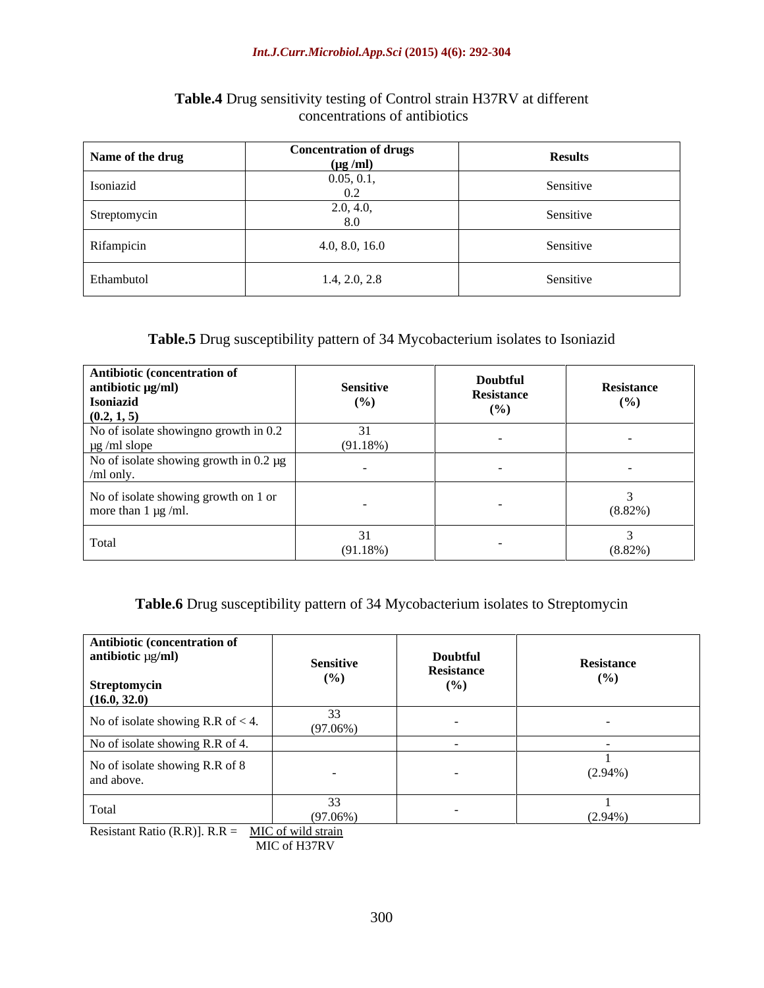#### *Int.J.Curr.Microbiol.App.Sci* **(2015) 4(6): 292-304**

| Name of the drug | <b>Concentration of drugs</b><br>$(\mu g / ml)$ | <b>Results</b> |
|------------------|-------------------------------------------------|----------------|
| Isoniazid        | 0.05, 0.1,                                      | Sensitive      |
| Streptomycin     | 2.0, 4.0,<br>8.0                                | Sensitive      |
| Rifampicin       | 4.0, 8.0, 16.0                                  | Sensitive      |
| Ethambutol       | 1.4, 2.0, 2.8                                   | Sensitive      |

## **Table.4** Drug sensitivity testing of Control strain H37RV at different concentrations of antibiotics

## **Table.5** Drug susceptibility pattern of 34 Mycobacterium isolates to Isoniazid

| Antibiotic (concentration of<br>antibiotic µg/ml)<br>Isoniazid<br>$(0.2, 1, 5)$ | <b>Sensitive</b><br>(%) | Doubtful<br>Resistance<br>(%) | Resistance<br>(9/0) |
|---------------------------------------------------------------------------------|-------------------------|-------------------------------|---------------------|
| No of isolate showing no growth in 0.2<br>$\mu$ g /ml slope                     | (91.18%)                |                               |                     |
| No of isolate showing growth in $0.2 \mu g$<br>$/ml$ only.                      |                         |                               |                     |
| No of isolate showing growth on 1 or<br>more than $1 \mu g$ /ml.                |                         |                               | $(8.82\%)$          |
| Total                                                                           | (91.18%)                |                               | $(8.82\%)$          |

## **Table.6** Drug susceptibility pattern of 34 Mycobacterium isolates to Streptomycin

| Antibiotic (concentration of<br>antibiotic µg/ml)  | <b>Sensitive</b>  | Doubtful<br>Resistance | Resistance |
|----------------------------------------------------|-------------------|------------------------|------------|
| <b>Streptomycin</b><br>(16.0, 32.0)                | $(\%)$            | $(\%)$                 | (%)        |
| No of isolate showing R.R of $<$ 4.                | 33<br>$(97.06\%)$ |                        |            |
| No of isolate showing R.R of 4.                    |                   |                        |            |
| No of isolate showing R.R of 8<br>and above.       |                   |                        | $(2.94\%)$ |
| Total                                              | 33<br>$(97.06\%)$ |                        | $(2.94\%)$ |
| Resistant Ratio (R.R)]. $R.R = MIC$ of wild strain |                   |                        |            |

MIC of H37RV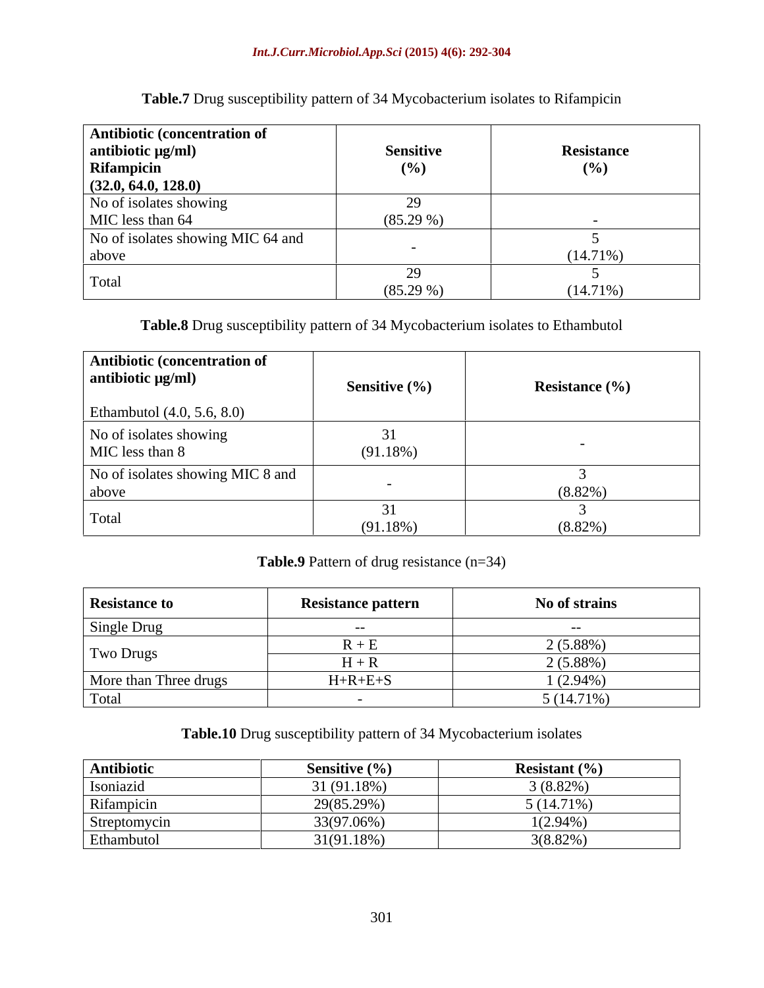| <b>Antibiotic (concentration of</b><br>antibiotic $\mu g/ml$ ) | <b>Sensitive</b> | <b>Resistance</b> |
|----------------------------------------------------------------|------------------|-------------------|
| Rifampicin                                                     | (%)              | (%)               |
| (32.0, 64.0, 128.0)<br>No of isolates showing                  |                  |                   |
| MIC less than 64                                               | $(85.29\%)$      |                   |
| No of isolates showing MIC 64 and<br>above                     |                  | $(14.71\%)$       |
| Total                                                          | $(85.29\%)$      | $(14.71\%)$       |

**Table.7** Drug susceptibility pattern of 34 Mycobacterium isolates to Rifampicin

**Table.8** Drug susceptibility pattern of 34 Mycobacterium isolates to Ethambutol

| Antibiotic (concentration of<br>antibiotic $\mu$ g/ml) | <b>Sensitive</b> $(\%)$ | <b>Resistance</b> (%) |
|--------------------------------------------------------|-------------------------|-----------------------|
| Ethambutol $(4.0, 5.6, 8.0)$                           |                         |                       |
| No of isolates showing<br>MIC less than 8              | (91.18%)                |                       |
| No of isolates showing MIC 8 and<br>above              |                         | $(8.82\%)$            |
| Total                                                  | (91.18%)                | $(8.82\%)$            |

**Table.9** Pattern of drug resistance (n=34)

| <b>Resistance to</b>  | <b>Resistance pattern</b> | No of strains |
|-----------------------|---------------------------|---------------|
| Single Drug           |                           |               |
| Two Drugs             | 17   T                    | 2 (5.88%)     |
|                       |                           | $2(5.88\%)$   |
| More than Three drugs | $H + R + E + S$           | $(2.94\%)$    |
| Total                 |                           | $5(14.71\%)$  |

**Table.10** Drug susceptibility pattern of 34 Mycobacterium isolates

| Antibiotic   | Sensitive (%) | Resistant $(\% )$   |
|--------------|---------------|---------------------|
| Isoniazid    | $'1(91.18\%)$ | $3(8.82\%)$         |
| Rifampicin   | 29(85.29%)    | $(14.71\%)$<br>(11) |
| Streptomycin | 33(97.06%)    | $1(2.94\%)$         |
| Ethambutol   | 31(91.18%)    | $3(8.82\%)$         |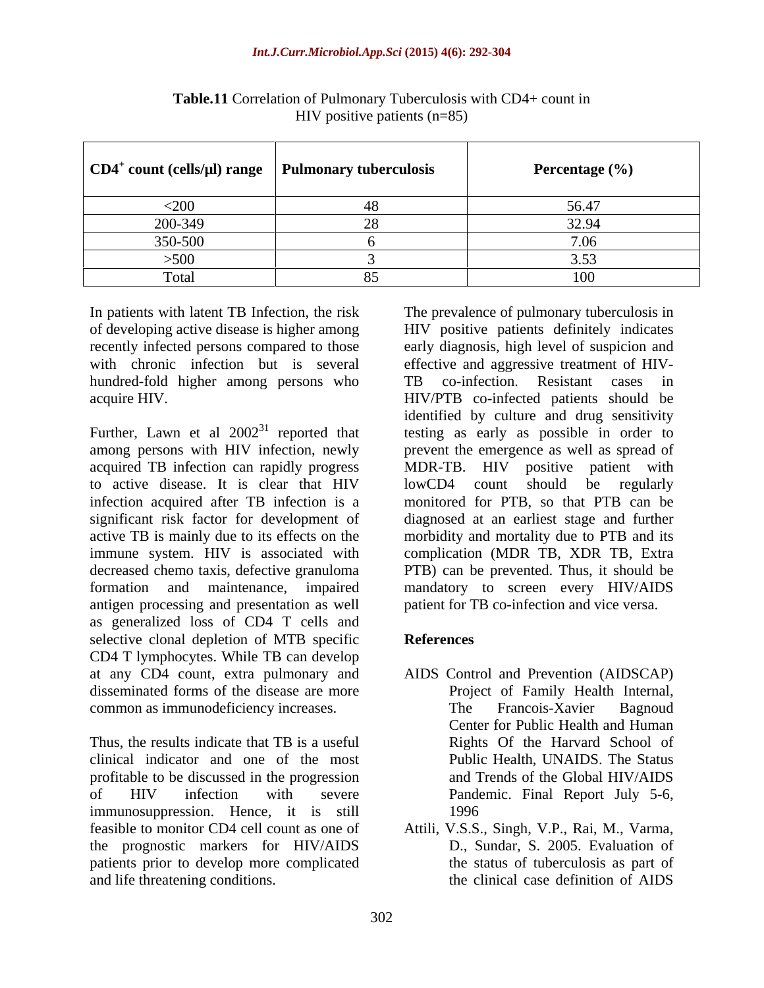| $\vert$ CD4 <sup>+</sup> count (cells/µl) range $\vert$ Pulmonary tuberculosis | Percentage (%) |
|--------------------------------------------------------------------------------|----------------|
| <200                                                                           | JU.4           |
| 200-349                                                                        | 32.94          |
| 350-500                                                                        |                |
| >500                                                                           |                |
| Total                                                                          | ⊥∪∪            |

**Table.11** Correlation of Pulmonary Tuberculosis with CD4+ count in HIV positive patients (n=85)

hundred-fold higher among persons who TB co-infection. Resistant cases in

Further, Lawn et al  $2002^{31}$  reported that acquired TB infection can rapidly progress MDR-TB. HIV positive patient with to active disease. It is clear that HIV antigen processing and presentation as well as generalized loss of CD4 T cells and selective clonal depletion of MTB specific References CD4 T lymphocytes. While TB can develop at any CD4 count, extra pulmonary and AIDS Control and Prevention (AIDSCAP) disseminated forms of the disease are more common as immunodeficiency increases. The Francois-Xavier Bagnoud

Thus, the results indicate that TB is a useful clinical indicator and one of the most profitable to be discussed in the progression of HIV infection with severe Pandemic. Final Report July 5-6, immunosuppression. Hence, it is still feasible to monitor CD4 cell count as one of Attili, V.S.S., Singh, V.P., Rai, M., Varma, the prognostic markers for HIV/AIDS patients prior to develop more complicated and life threatening conditions. the clinical case definition of AIDS

In patients with latent TB Infection, the risk The prevalence of pulmonary tuberculosis in of developing active disease is higher among HIV positive patients definitely indicates recently infected persons compared to those early diagnosis, high level of suspicion and with chronic infection but is several effective and aggressive treatment of HIVacquire HIV. HIV/PTB co-infected patients should be reported that testing as early as possible in order to among persons with HIV infection, newly prevent the emergence as well as spread of infection acquired after TB infection is a monitored for PTB, so that PTB can be significant risk factor for development of diagnosed at an earliest stage and further active TB is mainly due to its effects on the morbidity and mortality due to PTB and its immune system. HIV is associated with complication (MDR TB, XDR TB, Extra decreased chemo taxis, defective granuloma PTB) can be prevented. Thus, it should be formation and maintenance, impaired mandatory to screen every HIV/AIDS TB co-infection. Resistant cases in identified by culture and drug sensitivity MDR-TB. HIV positive patient with lowCD4 count should be regularly patient for TB co-infection and vice versa.

## **References**

- Project of Family Health Internal, The Francois-Xavier Bagnoud Center for Public Health and Human Rights Of the Harvard School of Public Health, UNAIDS. The Status and Trends of the Global HIV/AIDS 1996
- D., Sundar, S. 2005. Evaluation of the status of tuberculosis as part of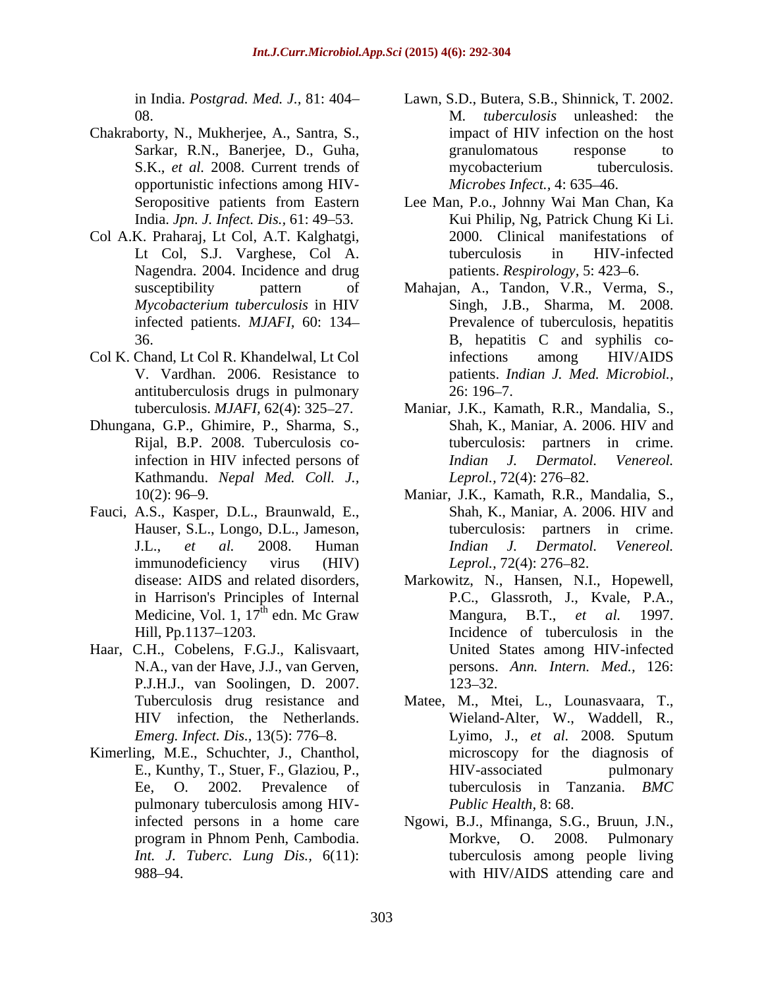- Chakraborty, N., Mukherjee, A., Santra, S., opportunistic infections among HIV-
- Col A.K. Praharaj, Lt Col, A.T. Kalghatgi, Nagendra. 2004. Incidence and drug
- Col K. Chand, Lt Col R. Khandelwal, Lt Col antituberculosis drugs in pulmonary
- Kathmandu. *Nepal Med. Coll. J.,*
- Fauci, A.S., Kasper, D.L., Braunwald, E., Shah, K., Maniar, A. 2006. HIV and
- Haar, C.H., Cobelens, F.G.J., Kalisvaart, P.J.H.J., van Soolingen, D. 2007.
- Kimerling, M.E., Schuchter, J., Chanthol, pulmonary tuberculosis among HIV-
- in India. *Postgrad. Med. J.,* 81: 404 Lawn, S.D., Butera, S.B., Shinnick, T. 2002. 08. M*. tuberculosis* unleashed: the Sarkar, R.N., Banerjee, D., Guha, S.K., *et al.* 2008. Current trends of mycobacterium tuberculosis. impact of HIV infection on the host granulomatous response to mycobacterium tuberculosis. *Microbes Infect.,* 4: 635 46.
- Seropositive patients from Eastern Lee Man, P.o., Johnny Wai Man Chan, Ka India. *Jpn. J. Infect. Dis.,* 61: 49 53. Kui Philip, Ng, Patrick Chung Ki Li. Lt Col, S.J. Varghese, Col A. 2000. Clinical manifestations of tuberculosis in HIV-infected patients. *Respirology*, 5: 423–6.
- susceptibility pattern of Mahajan, A., Tandon, V.R., Verma, S., *Mycobacterium tuberculosis* in HIV infected patients. *MJAFI,* 60: 134 Prevalence of tuberculosis, hepatitis 36. B, hepatitis C and syphilis co-V. Vardhan. 2006. Resistance to patients. *Indian J. Med. Microbiol.,* Singh, J.B., Sharma, M. 2008. infections among HIV/AIDS 26: 196–7.
- tuberculosis. *MJAFI,* 62(4): 325 27. Maniar, J.K., Kamath, R.R., Mandalia, S., Dhungana, G.P., Ghimire, P., Sharma, S., Shah, K., Maniar, A. 2006. HIV and Rijal, B.P. 2008. Tuberculosis co-<br>Rijal, B.P. 2008. Tuberculosis coinfection in HIV infected persons of *Indian J. Dermatol. Venereol.* Shah, K., Maniar, A. 2006. HIV and tuberculosis: partners in crime. *Indian J. Dermatol. Venereol. Leprol.,* 72(4): 276–82.
	- 10(2): 96 9. Maniar, J.K., Kamath, R.R., Mandalia, S., Hauser, S.L., Longo, D.L., Jameson, tuberculosis: partners in crime. J.L., *et al.* 2008. Human immunodeficiency virus (HIV) Leprol., 72(4): 276–82. Shah, K., Maniar, A. 2006. HIV and *Indian J. Dermatol. Venereol. Leprol.,* 72(4): 276–82.
	- disease: AIDS and related disorders, Markowitz, N., Hansen, N.I., Hopewell, in Harrison's Principles of Internal P.C., Glassroth, J., Kvale, P.A., Medicine, Vol. 1,  $17^{\text{th}}$  edn. Mc Graw Mangura, B.T., *et al.* 1997.<br>Hill, Pp.1137–1203. Incidence of tuberculosis in the  $\frac{d\mathbf{h}}{d\mathbf{h}}$  adm McCrow Mongura  $\mathbf{p}$   $\mathbf{T}$  at al 1007 edn. Mc Graw Mangura, B.T., et al. 1997. Hill, Pp.1137–1203. The Incidence of tuberculosis in the N.A., van der Have, J.J., van Gerven, persons. *Ann. Intern. Med.,* 126: Mangura, B.T., *et al.* United States among HIV-infected 123–32.
	- Tuberculosis drug resistance and Matee, M., Mtei, L., Lounasvaara, T., HIV infection, the Netherlands. Wieland-Alter, W., Waddell, R., *Emerg. Infect. Dis.,* 13(5): 776 8. Lyimo, J., *et al.* 2008. Sputum E., Kunthy, T., Stuer, F., Glaziou, P., Ee, O. 2002. Prevalence of microscopy for the diagnosis of HIV-associated pulmonary tuberculosis in Tanzania. *BMC Public Health,* 8: 68.
	- infected persons in a home care Mgowi, B.J., Mfinanga, S.G., Bruun, J.N., program in Phnom Penh, Cambodia. *Int. J. Tuberc. Lung Dis.,* 6(11): tuberculosis among people living 988 94. with HIV/AIDS attending care andNgowi, B.J., Mfinanga, S.G., Bruun, J.N., Morkve, O. 2008. Pulmonary